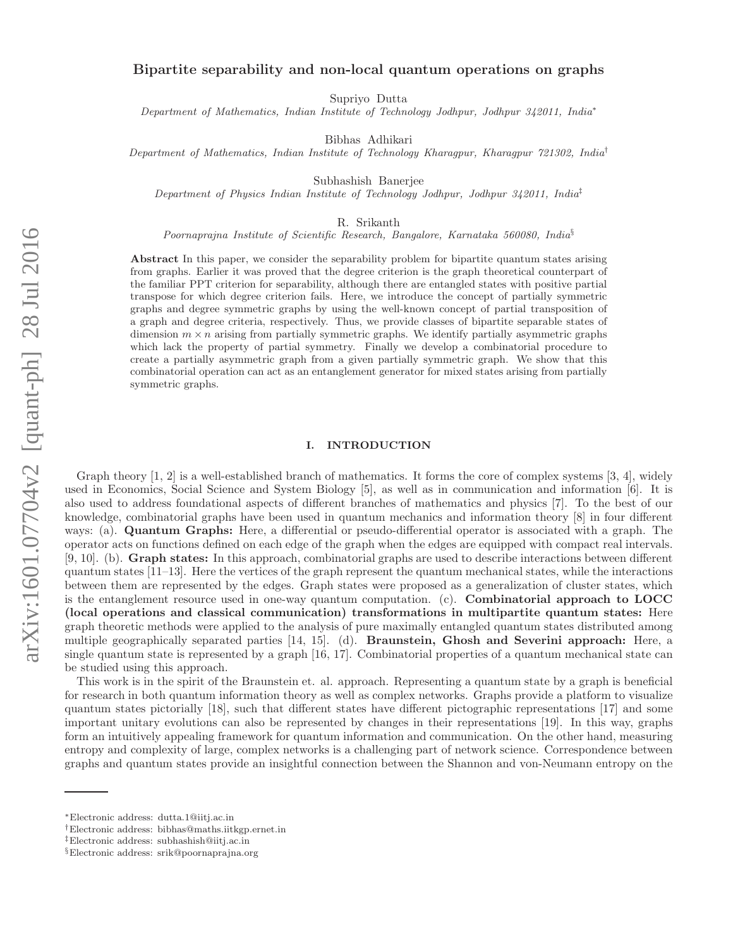# Bipartite separability and non-local quantum operations on graphs

Supriyo Dutta

Department of Mathematics, Indian Institute of Technology Jodhpur, Jodhpur 342011, India<sup>∗</sup>

Bibhas Adhikari

Department of Mathematics, Indian Institute of Technology Kharagpur, Kharagpur 721302, India†

Subhashish Banerjee

Department of Physics Indian Institute of Technology Jodhpur, Jodhpur 342011, India‡

R. Srikanth

Poornaprajna Institute of Scientific Research, Bangalore, Karnataka 560080, India<sup>§</sup>

Abstract In this paper, we consider the separability problem for bipartite quantum states arising from graphs. Earlier it was proved that the degree criterion is the graph theoretical counterpart of the familiar PPT criterion for separability, although there are entangled states with positive partial transpose for which degree criterion fails. Here, we introduce the concept of partially symmetric graphs and degree symmetric graphs by using the well-known concept of partial transposition of a graph and degree criteria, respectively. Thus, we provide classes of bipartite separable states of dimension  $m \times n$  arising from partially symmetric graphs. We identify partially asymmetric graphs which lack the property of partial symmetry. Finally we develop a combinatorial procedure to create a partially asymmetric graph from a given partially symmetric graph. We show that this combinatorial operation can act as an entanglement generator for mixed states arising from partially symmetric graphs.

#### I. INTRODUCTION

Graph theory [1, 2] is a well-established branch of mathematics. It forms the core of complex systems [3, 4], widely used in Economics, Social Science and System Biology [5], as well as in communication and information [6]. It is also used to address foundational aspects of different branches of mathematics and physics [7]. To the best of our knowledge, combinatorial graphs have been used in quantum mechanics and information theory [8] in four different ways: (a). Quantum Graphs: Here, a differential or pseudo-differential operator is associated with a graph. The operator acts on functions defined on each edge of the graph when the edges are equipped with compact real intervals. [9, 10]. (b). Graph states: In this approach, combinatorial graphs are used to describe interactions between different quantum states  $[11-13]$ . Here the vertices of the graph represent the quantum mechanical states, while the interactions between them are represented by the edges. Graph states were proposed as a generalization of cluster states, which is the entanglement resource used in one-way quantum computation. (c). Combinatorial approach to LOCC (local operations and classical communication) transformations in multipartite quantum states: Here graph theoretic methods were applied to the analysis of pure maximally entangled quantum states distributed among multiple geographically separated parties [14, 15]. (d). Braunstein, Ghosh and Severini approach: Here, a single quantum state is represented by a graph [16, 17]. Combinatorial properties of a quantum mechanical state can be studied using this approach.

This work is in the spirit of the Braunstein et. al. approach. Representing a quantum state by a graph is beneficial for research in both quantum information theory as well as complex networks. Graphs provide a platform to visualize quantum states pictorially [18], such that different states have different pictographic representations [17] and some important unitary evolutions can also be represented by changes in their representations [19]. In this way, graphs form an intuitively appealing framework for quantum information and communication. On the other hand, measuring entropy and complexity of large, complex networks is a challenging part of network science. Correspondence between graphs and quantum states provide an insightful connection between the Shannon and von-Neumann entropy on the

<sup>∗</sup>Electronic address: dutta.1@iitj.ac.in

<sup>†</sup>Electronic address: bibhas@maths.iitkgp.ernet.in

<sup>‡</sup>Electronic address: subhashish@iitj.ac.in

<sup>§</sup>Electronic address: srik@poornaprajna.org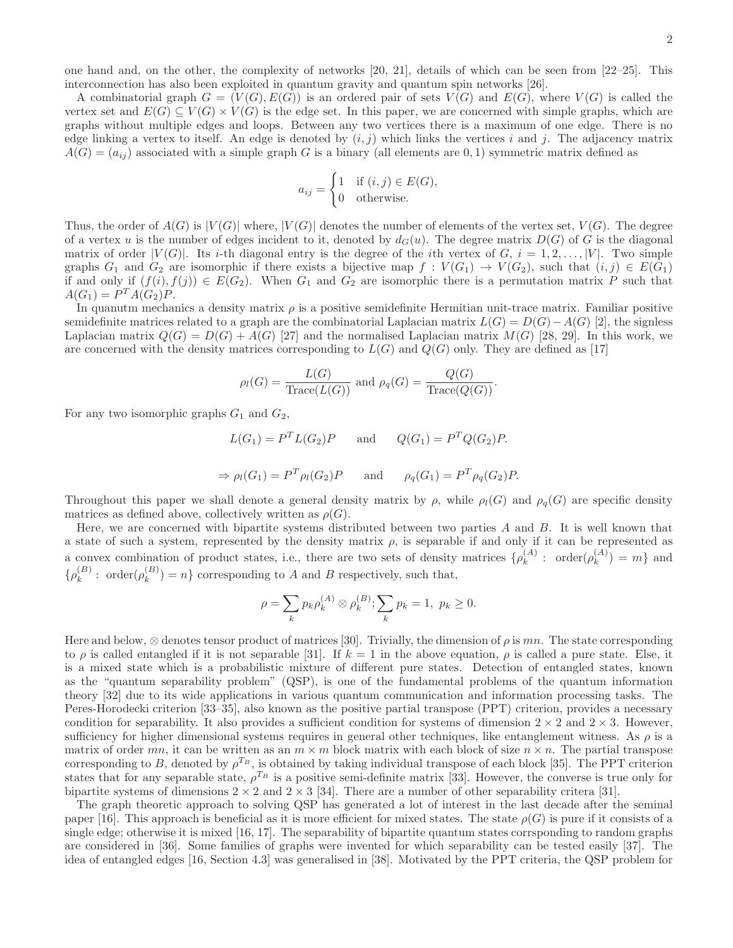one hand and, on the other, the complexity of networks [20, 21], details of which can be seen from [22–25]. This interconnection has also been exploited in quantum gravity and quantum spin networks [26].

A combinatorial graph  $G = (V(G), E(G))$  is an ordered pair of sets  $V(G)$  and  $E(G)$ , where  $V(G)$  is called the vertex set and  $E(G) \subseteq V(G) \times V(G)$  is the edge set. In this paper, we are concerned with simple graphs, which are graphs without multiple edges and loops. Between any two vertices there is a maximum of one edge. There is no edge linking a vertex to itself. An edge is denoted by  $(i, j)$  which links the vertices i and j. The adjacency matrix  $A(G) = (a_{ii})$  associated with a simple graph G is a binary (all elements are 0, 1) symmetric matrix defined as

$$
a_{ij} = \begin{cases} 1 & \text{if } (i,j) \in E(G), \\ 0 & \text{otherwise.} \end{cases}
$$

Thus, the order of  $A(G)$  is  $|V(G)|$  where,  $|V(G)|$  denotes the number of elements of the vertex set,  $V(G)$ . The degree of a vertex u is the number of edges incident to it, denoted by  $d_G(u)$ . The degree matrix  $D(G)$  of G is the diagonal matrix of order  $|V(G)|$ . Its *i*-th diagonal entry is the degree of the *i*th vertex of G,  $i = 1, 2, \ldots, |V|$ . Two simple graphs  $G_1$  and  $G_2$  are isomorphic if there exists a bijective map  $f: V(G_1) \to V(G_2)$ , such that  $(i, j) \in E(G_1)$ if and only if  $(f(i), f(j)) \in E(G_2)$ . When  $G_1$  and  $G_2$  are isomorphic there is a permutation matrix P such that  $A(G_1) = P^T A(G_2) P.$ 

In quanutm mechanics a density matrix  $\rho$  is a positive semidefinite Hermitian unit-trace matrix. Familiar positive semidefinite matrices related to a graph are the combinatorial Laplacian matrix  $L(G) = D(G) - A(G)$  [2], the signless Laplacian matrix  $Q(G) = D(G) + A(G)$  [27] and the normalised Laplacian matrix  $M(G)$  [28, 29]. In this work, we are concerned with the density matrices corresponding to  $L(G)$  and  $Q(G)$  only. They are defined as [17]

$$
\rho_l(G) = \frac{L(G)}{\text{Trace}(L(G))} \text{ and } \rho_q(G) = \frac{Q(G)}{\text{Trace}(Q(G))}.
$$

For any two isomorphic graphs  $G_1$  and  $G_2$ ,

$$
L(G_1) = P^T L(G_2) P \quad \text{and} \quad Q(G_1) = P^T Q(G_2) P.
$$
  
\n
$$
\Rightarrow \rho_l(G_1) = P^T \rho_l(G_2) P \quad \text{and} \quad \rho_q(G_1) = P^T \rho_q(G_2) P.
$$

Throughout this paper we shall denote a general density matrix by  $\rho$ , while  $\rho_l(G)$  and  $\rho_q(G)$  are specific density matrices as defined above, collectively written as  $\rho(G)$ .

Here, we are concerned with bipartite systems distributed between two parties  $A$  and  $B$ . It is well known that a state of such a system, represented by the density matrix  $\rho$ , is separable if and only if it can be represented as a convex combination of product states, i.e., there are two sets of density matrices  $\{\rho_k^{(A)}: \text{ order}(\rho_k^{(A)}) = m\}$  and  $\{\rho_k^{(B)}: \text{ order}(\rho_k^{(B)}) = n\}$  corresponding to A and B respectively, such that,

$$
\rho = \sum_{k} p_k \rho_k^{(A)} \otimes \rho_k^{(B)}; \sum_{k} p_k = 1, \ p_k \ge 0.
$$

Here and below,  $\otimes$  denotes tensor product of matrices [30]. Trivially, the dimension of  $\rho$  is mn. The state corresponding to  $\rho$  is called entangled if it is not separable [31]. If  $k = 1$  in the above equation,  $\rho$  is called a pure state. Else, it is a mixed state which is a probabilistic mixture of different pure states. Detection of entangled states, known as the "quantum separability problem" (QSP), is one of the fundamental problems of the quantum information theory [32] due to its wide applications in various quantum communication and information processing tasks. The Peres-Horodecki criterion [33–35], also known as the positive partial transpose (PPT) criterion, provides a necessary condition for separability. It also provides a sufficient condition for systems of dimension  $2 \times 2$  and  $2 \times 3$ . However, sufficiency for higher dimensional systems requires in general other techniques, like entanglement witness. As  $\rho$  is a matrix of order mn, it can be written as an  $m \times m$  block matrix with each block of size  $n \times n$ . The partial transpose corresponding to B, denoted by  $\rho^{T_B}$ , is obtained by taking individual transpose of each block [35]. The PPT criterion states that for any separable state,  $\rho^{T_B}$  is a positive semi-definite matrix [33]. However, the converse is true only for bipartite systems of dimensions  $2 \times 2$  and  $2 \times 3$  [34]. There are a number of other separability critera [31].

The graph theoretic approach to solving QSP has generated a lot of interest in the last decade after the seminal paper [16]. This approach is beneficial as it is more efficient for mixed states. The state  $\rho(G)$  is pure if it consists of a single edge; otherwise it is mixed [16, 17]. The separability of bipartite quantum states corrsponding to random graphs are considered in [36]. Some families of graphs were invented for which separability can be tested easily [37]. The idea of entangled edges [16, Section 4.3] was generalised in [38]. Motivated by the PPT criteria, the QSP problem for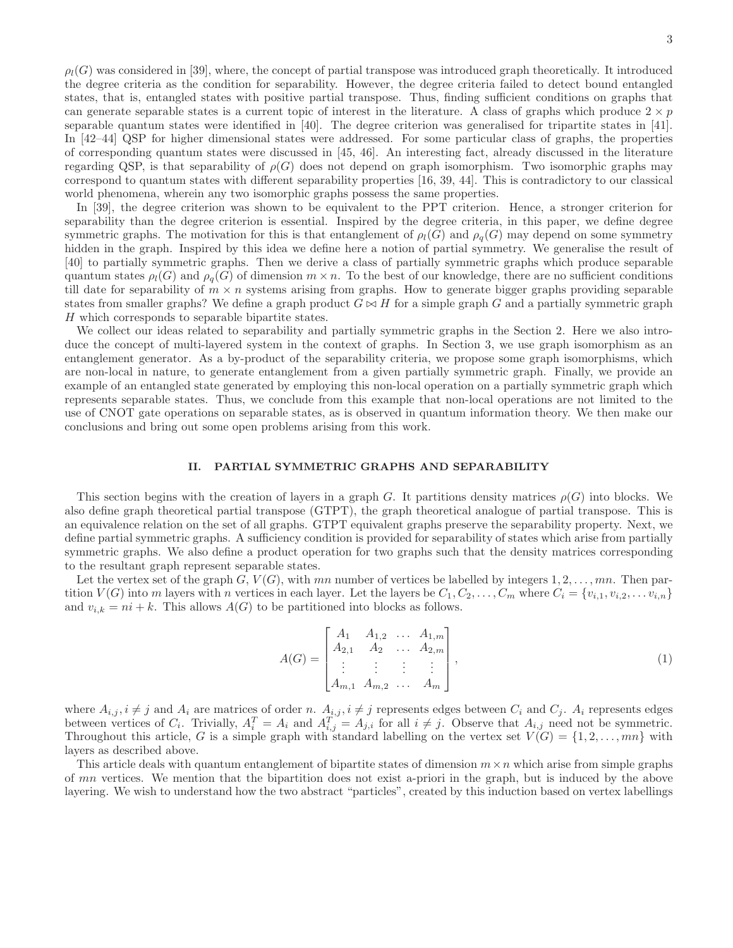$\rho_l(G)$  was considered in [39], where, the concept of partial transpose was introduced graph theoretically. It introduced the degree criteria as the condition for separability. However, the degree criteria failed to detect bound entangled states, that is, entangled states with positive partial transpose. Thus, finding sufficient conditions on graphs that can generate separable states is a current topic of interest in the literature. A class of graphs which produce  $2 \times p$ separable quantum states were identified in [40]. The degree criterion was generalised for tripartite states in [41]. In [42–44] QSP for higher dimensional states were addressed. For some particular class of graphs, the properties of corresponding quantum states were discussed in [45, 46]. An interesting fact, already discussed in the literature regarding QSP, is that separability of  $\rho(G)$  does not depend on graph isomorphism. Two isomorphic graphs may correspond to quantum states with different separability properties [16, 39, 44]. This is contradictory to our classical world phenomena, wherein any two isomorphic graphs possess the same properties.

In [39], the degree criterion was shown to be equivalent to the PPT criterion. Hence, a stronger criterion for separability than the degree criterion is essential. Inspired by the degree criteria, in this paper, we define degree symmetric graphs. The motivation for this is that entanglement of  $\rho_l(G)$  and  $\rho_q(G)$  may depend on some symmetry hidden in the graph. Inspired by this idea we define here a notion of partial symmetry. We generalise the result of [40] to partially symmetric graphs. Then we derive a class of partially symmetric graphs which produce separable quantum states  $\rho_l(G)$  and  $\rho_q(G)$  of dimension  $m \times n$ . To the best of our knowledge, there are no sufficient conditions till date for separability of  $m \times n$  systems arising from graphs. How to generate bigger graphs providing separable states from smaller graphs? We define a graph product  $G \bowtie H$  for a simple graph G and a partially symmetric graph H which corresponds to separable bipartite states.

We collect our ideas related to separability and partially symmetric graphs in the Section 2. Here we also introduce the concept of multi-layered system in the context of graphs. In Section 3, we use graph isomorphism as an entanglement generator. As a by-product of the separability criteria, we propose some graph isomorphisms, which are non-local in nature, to generate entanglement from a given partially symmetric graph. Finally, we provide an example of an entangled state generated by employing this non-local operation on a partially symmetric graph which represents separable states. Thus, we conclude from this example that non-local operations are not limited to the use of CNOT gate operations on separable states, as is observed in quantum information theory. We then make our conclusions and bring out some open problems arising from this work.

### II. PARTIAL SYMMETRIC GRAPHS AND SEPARABILITY

This section begins with the creation of layers in a graph G. It partitions density matrices  $\rho(G)$  into blocks. We also define graph theoretical partial transpose (GTPT), the graph theoretical analogue of partial transpose. This is an equivalence relation on the set of all graphs. GTPT equivalent graphs preserve the separability property. Next, we define partial symmetric graphs. A sufficiency condition is provided for separability of states which arise from partially symmetric graphs. We also define a product operation for two graphs such that the density matrices corresponding to the resultant graph represent separable states.

Let the vertex set of the graph  $G, V(G)$ , with mn number of vertices be labelled by integers  $1, 2, \ldots, mn$ . Then partition  $V(G)$  into m layers with n vertices in each layer. Let the layers be  $C_1, C_2, \ldots, C_m$  where  $C_i = \{v_{i,1}, v_{i,2}, \ldots, v_{i,n}\}$ and  $v_{i,k} = ni + k$ . This allows  $A(G)$  to be partitioned into blocks as follows.

$$
A(G) = \begin{bmatrix} A_1 & A_{1,2} & \dots & A_{1,m} \\ A_{2,1} & A_2 & \dots & A_{2,m} \\ \vdots & \vdots & \vdots & \vdots \\ A_{m,1} & A_{m,2} & \dots & A_m \end{bmatrix},
$$
(1)

where  $A_{i,j}, i \neq j$  and  $A_i$  are matrices of order n.  $A_{i,j}, i \neq j$  represents edges between  $C_i$  and  $C_j$ .  $A_i$  represents edges between vertices of  $C_i$ . Trivially,  $A_i^T = A_i$  and  $A_{i,j}^T = A_{j,i}$  for all  $i \neq j$ . Observe that  $A_{i,j}$  need not be symmetric. Throughout this article, G is a simple graph with standard labelling on the vertex set  $V(G) = \{1, 2, ..., mn\}$  with layers as described above.

This article deals with quantum entanglement of bipartite states of dimension  $m \times n$  which arise from simple graphs of mn vertices. We mention that the bipartition does not exist a-priori in the graph, but is induced by the above layering. We wish to understand how the two abstract "particles", created by this induction based on vertex labellings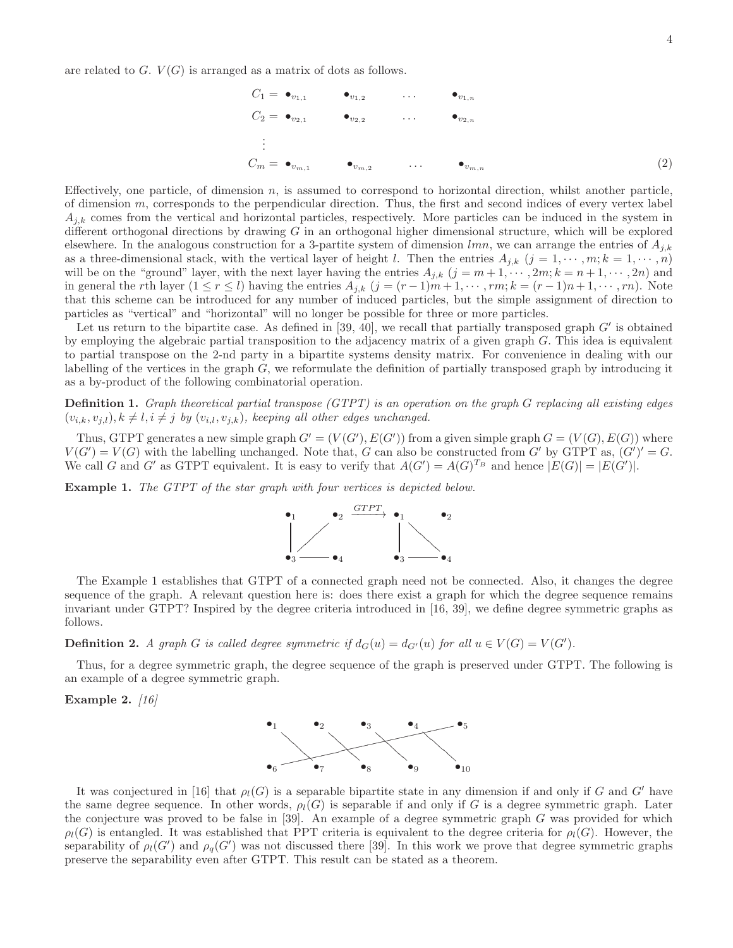are related to  $G. V(G)$  is arranged as a matrix of dots as follows.

$$
C_1 = \bullet_{v_{1,1}} \bullet_{v_{1,2}} \cdots \bullet_{v_{1,n}}
$$
  
\n
$$
C_2 = \bullet_{v_{2,1}} \bullet_{v_{2,2}} \cdots \bullet_{v_{2,n}}
$$
  
\n
$$
\vdots
$$
  
\n
$$
C_m = \bullet_{v_{m,1}} \bullet_{v_{m,2}} \cdots \bullet_{v_{m,n}}
$$
  
\n(2)

Effectively, one particle, of dimension  $n$ , is assumed to correspond to horizontal direction, whilst another particle, of dimension  $m$ , corresponds to the perpendicular direction. Thus, the first and second indices of every vertex label  $A_{i,k}$  comes from the vertical and horizontal particles, respectively. More particles can be induced in the system in different orthogonal directions by drawing  $G$  in an orthogonal higher dimensional structure, which will be explored elsewhere. In the analogous construction for a 3-partite system of dimension  $lmn$ , we can arrange the entries of  $A_{i,k}$ as a three-dimensional stack, with the vertical layer of height l. Then the entries  $A_{j,k}$   $(j = 1, \dots, m; k = 1, \dots, n)$ will be on the "ground" layer, with the next layer having the entries  $A_{j,k}$   $(j = m+1, \dots, 2m; k = n+1, \dots, 2n)$  and in general the rth layer  $(1 \le r \le l)$  having the entries  $A_{j,k}$   $(j = (r-1)m+1, \dots, rm; k = (r-1)n+1, \dots, rn)$ . Note that this scheme can be introduced for any number of induced particles, but the simple assignment of direction to particles as "vertical" and "horizontal" will no longer be possible for three or more particles.

Let us return to the bipartite case. As defined in  $[39, 40]$ , we recall that partially transposed graph  $G'$  is obtained by employing the algebraic partial transposition to the adjacency matrix of a given graph  $G$ . This idea is equivalent to partial transpose on the 2-nd party in a bipartite systems density matrix. For convenience in dealing with our labelling of the vertices in the graph  $G$ , we reformulate the definition of partially transposed graph by introducing it as a by-product of the following combinatorial operation.

**Definition 1.** Graph theoretical partial transpose  $(GTPT)$  is an operation on the graph G replacing all existing edges  $(v_{i,k}, v_{j,l}), k \neq l, i \neq j$  by  $(v_{i,l}, v_{j,k}),$  keeping all other edges unchanged.

Thus, GTPT generates a new simple graph  $G' = (V(G'), E(G'))$  from a given simple graph  $G = (V(G), E(G))$  where  $V(G') = V(G)$  with the labelling unchanged. Note that, G can also be constructed from G' by GTPT as,  $(G')' = G$ . We call G and G' as GTPT equivalent. It is easy to verify that  $A(G') = A(G)^{T_B}$  and hence  $|E(G)| = |E(G')|$ .

Example 1. The GTPT of the star graph with four vertices is depicted below.



The Example 1 establishes that GTPT of a connected graph need not be connected. Also, it changes the degree sequence of the graph. A relevant question here is: does there exist a graph for which the degree sequence remains invariant under GTPT? Inspired by the degree criteria introduced in [16, 39], we define degree symmetric graphs as follows.

**Definition 2.** A graph G is called degree symmetric if  $d_G(u) = d_{G'}(u)$  for all  $u \in V(G) = V(G')$ .

Thus, for a degree symmetric graph, the degree sequence of the graph is preserved under GTPT. The following is an example of a degree symmetric graph.

Example 2.  $[16]$ 



It was conjectured in [16] that  $\rho_l(G)$  is a separable bipartite state in any dimension if and only if G and G' have the same degree sequence. In other words,  $\rho_l(G)$  is separable if and only if G is a degree symmetric graph. Later the conjecture was proved to be false in  $[39]$ . An example of a degree symmetric graph G was provided for which  $\rho_l(G)$  is entangled. It was established that PPT criteria is equivalent to the degree criteria for  $\rho_l(G)$ . However, the separability of  $\rho_l(G')$  and  $\rho_q(G')$  was not discussed there [39]. In this work we prove that degree symmetric graphs preserve the separability even after GTPT. This result can be stated as a theorem.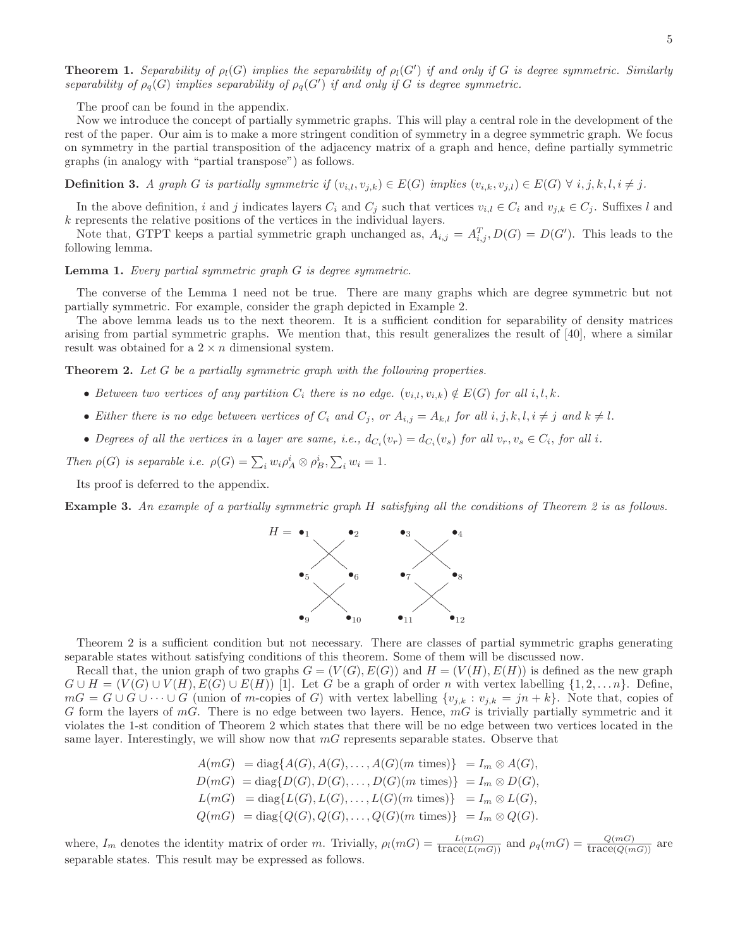**Theorem 1.** Separability of  $\rho_l(G)$  implies the separability of  $\rho_l(G')$  if and only if G is degree symmetric. Similarly separability of  $\rho_q(G)$  implies separability of  $\rho_q(G')$  if and only if G is degree symmetric.

The proof can be found in the appendix.

Now we introduce the concept of partially symmetric graphs. This will play a central role in the development of the rest of the paper. Our aim is to make a more stringent condition of symmetry in a degree symmetric graph. We focus on symmetry in the partial transposition of the adjacency matrix of a graph and hence, define partially symmetric graphs (in analogy with "partial transpose") as follows.

**Definition 3.** A graph G is partially symmetric if  $(v_{i,l}, v_{j,k}) \in E(G)$  implies  $(v_{i,k}, v_{j,l}) \in E(G) \ \forall \ i, j, k, l, i \neq j.$ 

In the above definition, i and j indicates layers  $C_i$  and  $C_j$  such that vertices  $v_{i,l} \in C_i$  and  $v_{j,k} \in C_j$ . Suffixes l and k represents the relative positions of the vertices in the individual layers.

Note that, GTPT keeps a partial symmetric graph unchanged as,  $A_{i,j} = A_{i,j}^T$ ,  $D(G) = D(G')$ . This leads to the following lemma.

Lemma 1. Every partial symmetric graph G is degree symmetric.

The converse of the Lemma 1 need not be true. There are many graphs which are degree symmetric but not partially symmetric. For example, consider the graph depicted in Example 2.

The above lemma leads us to the next theorem. It is a sufficient condition for separability of density matrices arising from partial symmetric graphs. We mention that, this result generalizes the result of [40], where a similar result was obtained for a  $2 \times n$  dimensional system.

Theorem 2. Let G be a partially symmetric graph with the following properties.

- Between two vertices of any partition  $C_i$  there is no edge.  $(v_{i,l}, v_{i,k}) \notin E(G)$  for all  $i, l, k$ .
- Either there is no edge between vertices of  $C_i$  and  $C_j$ , or  $A_{i,j} = A_{k,l}$  for all  $i, j, k, l, i \neq j$  and  $k \neq l$ .
- Degrees of all the vertices in a layer are same, i.e.,  $d_{C_i}(v_r) = d_{C_i}(v_s)$  for all  $v_r, v_s \in C_i$ , for all i.

Then  $\rho(G)$  is separable i.e.  $\rho(G) = \sum_i w_i \rho_A^i \otimes \rho_B^i, \sum_i w_i = 1$ .

Its proof is deferred to the appendix.

Example 3. An example of a partially symmetric graph H satisfying all the conditions of Theorem 2 is as follows.



Theorem 2 is a sufficient condition but not necessary. There are classes of partial symmetric graphs generating separable states without satisfying conditions of this theorem. Some of them will be discussed now.

Recall that, the union graph of two graphs  $G = (V(G), E(G))$  and  $H = (V(H), E(H))$  is defined as the new graph  $G \cup H = (V(G) \cup V(H), E(G) \cup E(H))$  [1]. Let G be a graph of order n with vertex labelling  $\{1, 2, \ldots n\}$ . Define,  $mG = G \cup G \cup \cdots \cup G$  (union of m-copies of G) with vertex labelling  $\{v_{j,k} : v_{j,k} = jn+k\}$ . Note that, copies of G form the layers of  $mG$ . There is no edge between two layers. Hence,  $mG$  is trivially partially symmetric and it violates the 1-st condition of Theorem 2 which states that there will be no edge between two vertices located in the same layer. Interestingly, we will show now that  $mG$  represents separable states. Observe that

$$
A(mG) = \text{diag}\{A(G), A(G), \dots, A(G)(m \text{ times})\} = I_m \otimes A(G),
$$
  
\n
$$
D(mG) = \text{diag}\{D(G), D(G), \dots, D(G)(m \text{ times})\} = I_m \otimes D(G),
$$
  
\n
$$
L(mG) = \text{diag}\{L(G), L(G), \dots, L(G)(m \text{ times})\} = I_m \otimes L(G),
$$
  
\n
$$
Q(mG) = \text{diag}\{Q(G), Q(G), \dots, Q(G)(m \text{ times})\} = I_m \otimes Q(G).
$$

where,  $I_m$  denotes the identity matrix of order m. Trivially,  $\rho_l(mG) = \frac{L(mG)}{\text{trace}(L(mG))}$  and  $\rho_q(mG) = \frac{Q(mG)}{\text{trace}(Q(mG))}$  are separable states. This result may be expressed as follows.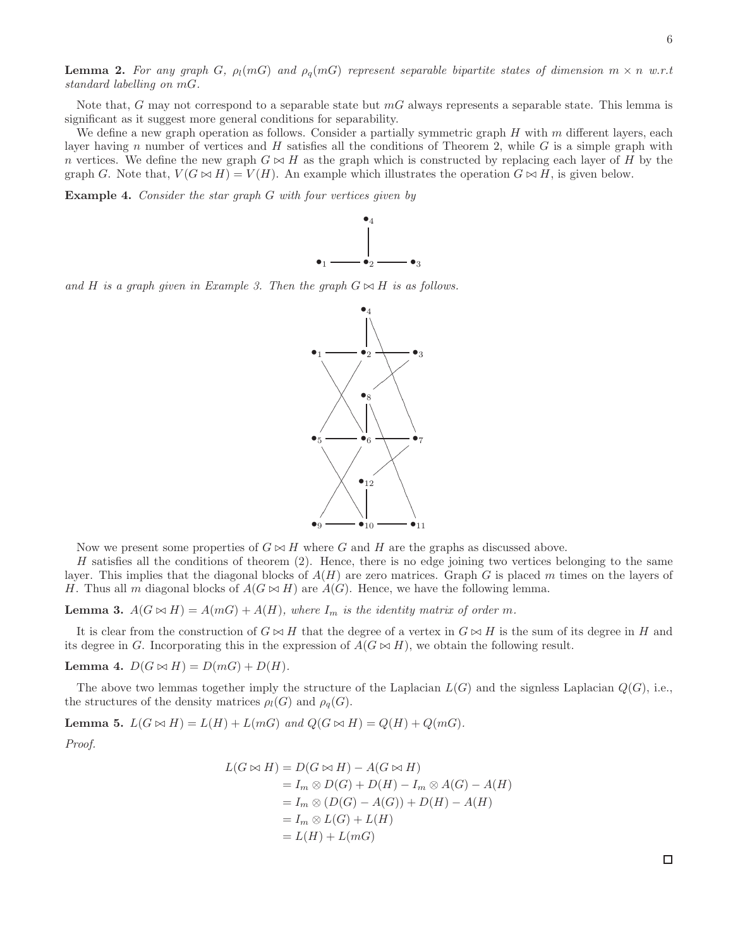Note that, G may not correspond to a separable state but  $m<sub>G</sub>$  always represents a separable state. This lemma is significant as it suggest more general conditions for separability.

We define a new graph operation as follows. Consider a partially symmetric graph  $H$  with  $m$  different layers, each layer having n number of vertices and H satisfies all the conditions of Theorem 2, while  $G$  is a simple graph with n vertices. We define the new graph  $G \bowtie H$  as the graph which is constructed by replacing each layer of H by the graph G. Note that,  $V(G \bowtie H) = V(H)$ . An example which illustrates the operation  $G \bowtie H$ , is given below.

Example 4. Consider the star graph G with four vertices given by



and H is a graph given in Example 3. Then the graph  $G \bowtie H$  is as follows.



Now we present some properties of  $G \bowtie H$  where G and H are the graphs as discussed above.

H satisfies all the conditions of theorem  $(2)$ . Hence, there is no edge joining two vertices belonging to the same layer. This implies that the diagonal blocks of  $A(H)$  are zero matrices. Graph G is placed m times on the layers of H. Thus all m diagonal blocks of  $A(G \bowtie H)$  are  $A(G)$ . Hence, we have the following lemma.

**Lemma 3.**  $A(G \bowtie H) = A(mG) + A(H)$ , where  $I_m$  is the identity matrix of order m.

It is clear from the construction of  $G \bowtie H$  that the degree of a vertex in  $G \bowtie H$  is the sum of its degree in H and its degree in G. Incorporating this in the expression of  $A(G \bowtie H)$ , we obtain the following result.

Lemma 4.  $D(G \bowtie H) = D(mG) + D(H)$ .

The above two lemmas together imply the structure of the Laplacian  $L(G)$  and the signless Laplacian  $Q(G)$ , i.e., the structures of the density matrices  $\rho_l(G)$  and  $\rho_q(G)$ .

Lemma 5.  $L(G \bowtie H) = L(H) + L(mG)$  and  $Q(G \bowtie H) = Q(H) + Q(mG)$ . Proof.

$$
L(G \bowtie H) = D(G \bowtie H) - A(G \bowtie H)
$$
  
=  $I_m \otimes D(G) + D(H) - I_m \otimes A(G) - A(H)$   
=  $I_m \otimes (D(G) - A(G)) + D(H) - A(H)$   
=  $I_m \otimes L(G) + L(H)$   
=  $L(H) + L(mG)$ 

 $\Box$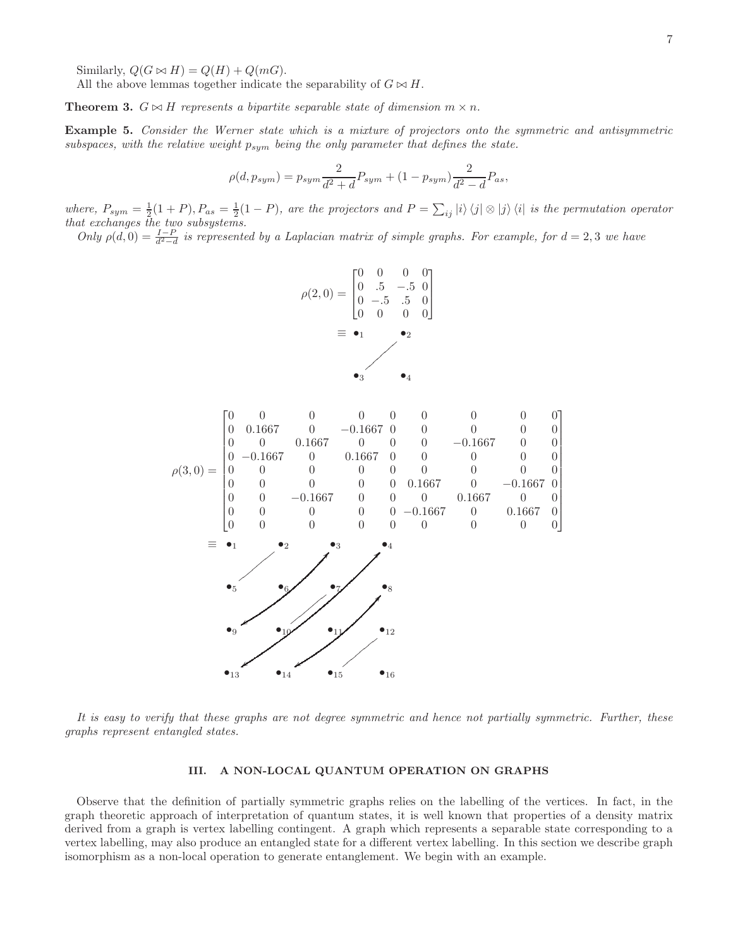Similarly,  $Q(G \bowtie H) = Q(H) + Q(mG)$ .

All the above lemmas together indicate the separability of  $G \bowtie H$ .

**Theorem 3.**  $G \bowtie H$  represents a bipartite separable state of dimension  $m \times n$ .

Example 5. Consider the Werner state which is a mixture of projectors onto the symmetric and antisymmetric subspaces, with the relative weight  $p_{sym}$  being the only parameter that defines the state.

$$
\rho(d, p_{sym}) = p_{sym} \frac{2}{d^2 + d} P_{sym} + (1 - p_{sym}) \frac{2}{d^2 - d} P_{as},
$$

where,  $P_{sym} = \frac{1}{2}(1+P)$ ,  $P_{as} = \frac{1}{2}(1-P)$ , are the projectors and  $P = \sum_{ij} |i\rangle\langle j| \otimes |j\rangle\langle i|$  is the permutation operator that exchanges the two subsystems.

Only  $\rho(d, 0) = \frac{I-P}{d^2-d}$  is represented by a Laplacian matrix of simple graphs. For example, for  $d = 2, 3$  we have



It is easy to verify that these graphs are not degree symmetric and hence not partially symmetric. Further, these graphs represent entangled states.

## III. A NON-LOCAL QUANTUM OPERATION ON GRAPHS

Observe that the definition of partially symmetric graphs relies on the labelling of the vertices. In fact, in the graph theoretic approach of interpretation of quantum states, it is well known that properties of a density matrix derived from a graph is vertex labelling contingent. A graph which represents a separable state corresponding to a vertex labelling, may also produce an entangled state for a different vertex labelling. In this section we describe graph isomorphism as a non-local operation to generate entanglement. We begin with an example.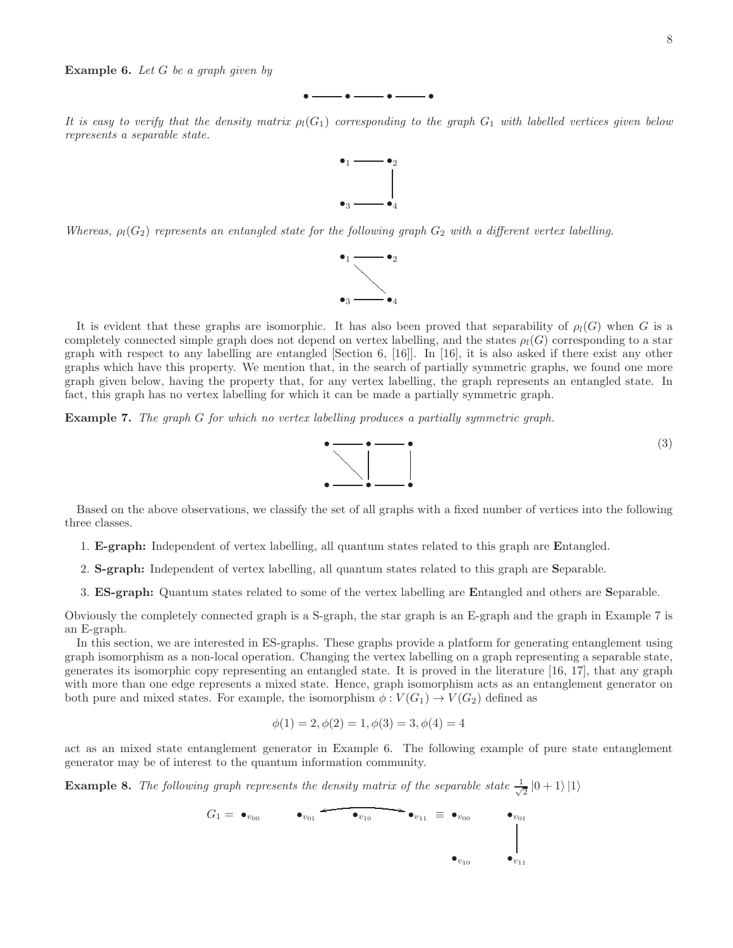**Example 6.** Let  $G$  be a graph given by



It is easy to verify that the density matrix  $p_l(G_1)$  corresponding to the graph  $G_1$  with labelled vertices given below represents a separable state.



Whereas,  $\rho_l(G_2)$  represents an entangled state for the following graph  $G_2$  with a different vertex labelling.



It is evident that these graphs are isomorphic. It has also been proved that separability of  $\rho_l(G)$  when G is a completely connected simple graph does not depend on vertex labelling, and the states  $\rho_l(G)$  corresponding to a star graph with respect to any labelling are entangled [Section 6, [16]]. In [16], it is also asked if there exist any other graphs which have this property. We mention that, in the search of partially symmetric graphs, we found one more graph given below, having the property that, for any vertex labelling, the graph represents an entangled state. In fact, this graph has no vertex labelling for which it can be made a partially symmetric graph.

Example 7. The graph G for which no vertex labelling produces a partially symmetric graph.



Based on the above observations, we classify the set of all graphs with a fixed number of vertices into the following three classes.

- 1. E-graph: Independent of vertex labelling, all quantum states related to this graph are Entangled.
- 2. S-graph: Independent of vertex labelling, all quantum states related to this graph are Separable.
- 3. ES-graph: Quantum states related to some of the vertex labelling are Entangled and others are Separable.

Obviously the completely connected graph is a S-graph, the star graph is an E-graph and the graph in Example 7 is an E-graph.

In this section, we are interested in ES-graphs. These graphs provide a platform for generating entanglement using graph isomorphism as a non-local operation. Changing the vertex labelling on a graph representing a separable state, generates its isomorphic copy representing an entangled state. It is proved in the literature [16, 17], that any graph with more than one edge represents a mixed state. Hence, graph isomorphism acts as an entanglement generator on both pure and mixed states. For example, the isomorphism  $\phi : V(G_1) \to V(G_2)$  defined as

$$
\phi(1) = 2, \phi(2) = 1, \phi(3) = 3, \phi(4) = 4
$$

act as an mixed state entanglement generator in Example 6. The following example of pure state entanglement generator may be of interest to the quantum information community.

**Example 8.** The following graph represents the density matrix of the separable state  $\frac{1}{\sqrt{2}}$  $\frac{1}{2}$   $\ket{0+1}\ket{1}$ 

$$
G_1 = \bullet_{v_{00}} \qquad \bullet_{v_{01}} \qquad \bullet_{v_{10}} \qquad \bullet_{v_{11}} \equiv \bullet_{v_{00}} \qquad \bullet_{v_{01}}
$$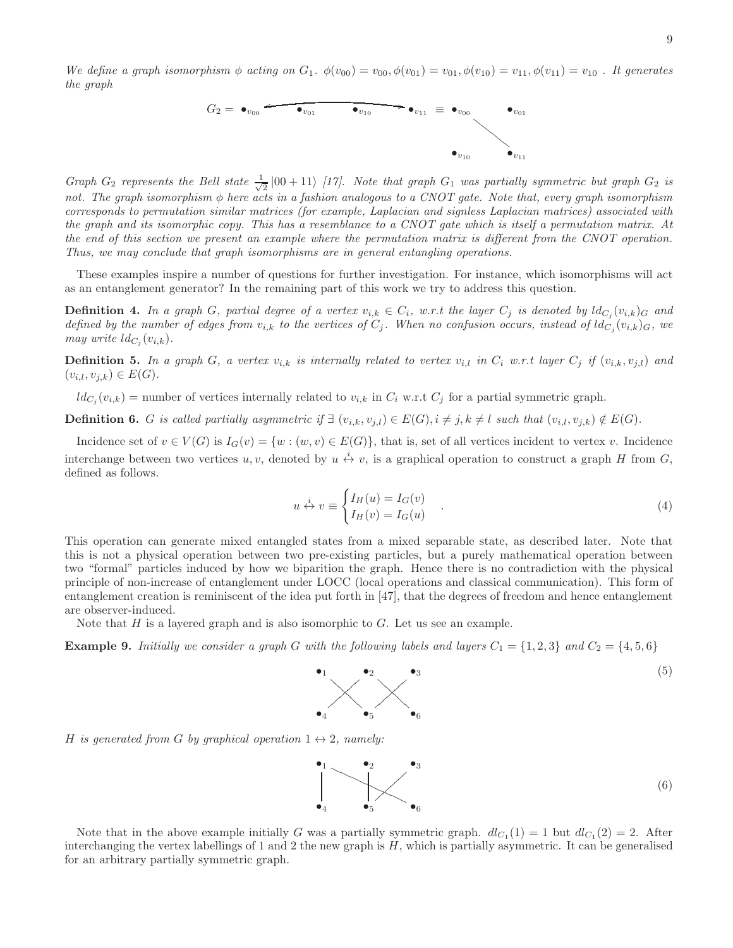We define a graph isomorphism  $\phi$  acting on  $G_1$ .  $\phi(v_{00}) = v_{00}$ ,  $\phi(v_{01}) = v_{01}$ ,  $\phi(v_{10}) = v_{11}$ ,  $\phi(v_{11}) = v_{10}$ . It generates the graph



Graph G<sub>2</sub> represents the Bell state  $\frac{1}{\sqrt{2}}$  $\frac{1}{2}$  |00 + 11\ [17]. Note that graph  $G_1$  was partially symmetric but graph  $G_2$  is not. The graph isomorphism  $\phi$  here acts in a fashion analogous to a CNOT gate. Note that, every graph isomorphism corresponds to permutation similar matrices (for example, Laplacian and signless Laplacian matrices) associated with the graph and its isomorphic copy. This has a resemblance to a CNOT gate which is itself a permutation matrix. At the end of this section we present an example where the permutation matrix is different from the CNOT operation. Thus, we may conclude that graph isomorphisms are in general entangling operations.

These examples inspire a number of questions for further investigation. For instance, which isomorphisms will act as an entanglement generator? In the remaining part of this work we try to address this question.

**Definition 4.** In a graph G, partial degree of a vertex  $v_{i,k} \in C_i$ , w.r.t the layer  $C_j$  is denoted by  $ld_{C_j}(v_{i,k})_G$  and defined by the number of edges from  $v_{i,k}$  to the vertices of  $C_j$ . When no confusion occurs, instead of  $ld_{C_j}(v_{i,k})_G$ , we may write  $ld_{C_j}(v_{i,k}).$ 

**Definition 5.** In a graph G, a vertex  $v_{i,k}$  is internally related to vertex  $v_{i,l}$  in  $C_i$  w.r.t layer  $C_j$  if  $(v_{i,k}, v_{j,l})$  and  $(v_{i,l}, v_{j,k}) \in E(G)$ .

 $ld_{C_j}(v_{i,k}) =$  number of vertices internally related to  $v_{i,k}$  in  $C_i$  w.r.t  $C_j$  for a partial symmetric graph.

**Definition 6.** G is called partially asymmetric if  $\exists (v_{i,k}, v_{j,l}) \in E(G), i \neq j, k \neq l$  such that  $(v_{i,l}, v_{j,k}) \notin E(G)$ .

Incidence set of  $v \in V(G)$  is  $I_G(v) = \{w : (w, v) \in E(G)\}\)$ , that is, set of all vertices incident to vertex v. Incidence interchange between two vertices u, v, denoted by  $u \stackrel{i}{\leftrightarrow} v$ , is a graphical operation to construct a graph H from G, defined as follows.

$$
u \stackrel{i}{\leftrightarrow} v \equiv \begin{cases} I_H(u) = I_G(v) \\ I_H(v) = I_G(u) \end{cases} . \tag{4}
$$

This operation can generate mixed entangled states from a mixed separable state, as described later. Note that this is not a physical operation between two pre-existing particles, but a purely mathematical operation between two "formal" particles induced by how we biparition the graph. Hence there is no contradiction with the physical principle of non-increase of entanglement under LOCC (local operations and classical communication). This form of entanglement creation is reminiscent of the idea put forth in [47], that the degrees of freedom and hence entanglement are observer-induced.

Note that  $H$  is a layered graph and is also isomorphic to  $G$ . Let us see an example.

**Example 9.** Initially we consider a graph G with the following labels and layers  $C_1 = \{1, 2, 3\}$  and  $C_2 = \{4, 5, 6\}$ 



H is generated from G by graphical operation  $1 \leftrightarrow 2$ , namely:



Note that in the above example initially G was a partially symmetric graph.  $dl_{C_1}(1) = 1$  but  $dl_{C_1}(2) = 2$ . After interchanging the vertex labellings of 1 and 2 the new graph is  $H$ , which is partially asymmetric. It can be generalised for an arbitrary partially symmetric graph.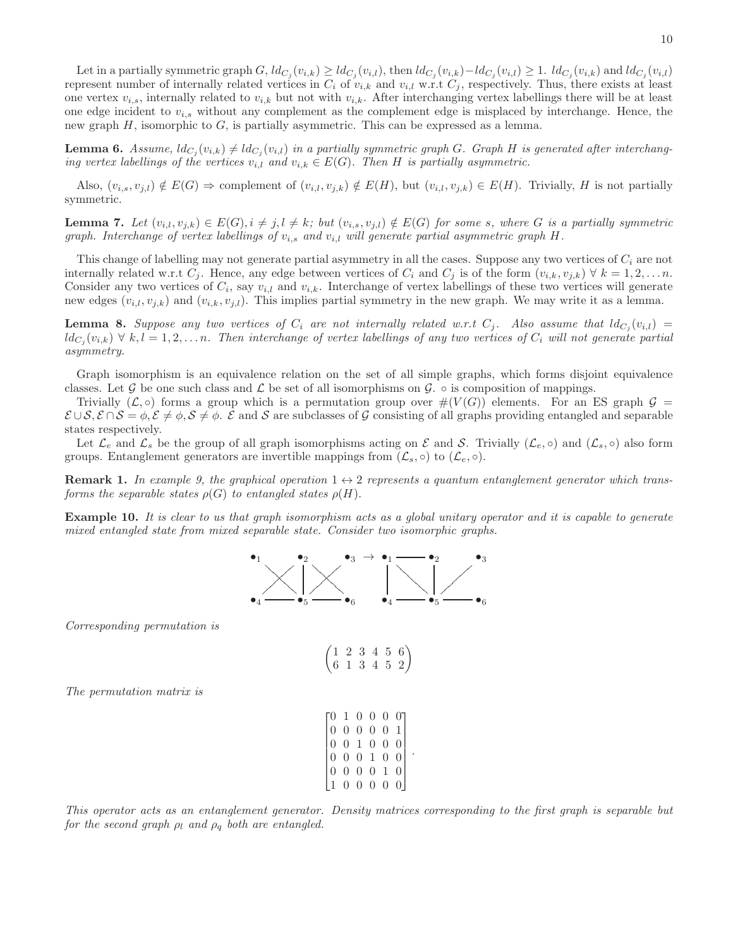**Lemma 6.** Assume,  $ld_{C_j}(v_{i,k}) \neq ld_{C_j}(v_{i,l})$  in a partially symmetric graph G. Graph H is generated after interchanging vertex labellings of the vertices  $v_{i,l}$  and  $v_{i,k} \in E(G)$ . Then H is partially asymmetric.

Also,  $(v_{i,s}, v_{j,l}) \notin E(G) \Rightarrow$  complement of  $(v_{i,l}, v_{j,k}) \notin E(H)$ , but  $(v_{i,l}, v_{j,k}) \in E(H)$ . Trivially, H is not partially symmetric.

**Lemma 7.** Let  $(v_{i,l}, v_{j,k}) \in E(G), i \neq j, l \neq k$ ; but  $(v_{i,s}, v_{j,l}) \notin E(G)$  for some s, where G is a partially symmetric graph. Interchange of vertex labellings of  $v_{i,s}$  and  $v_{i,l}$  will generate partial asymmetric graph H.

This change of labelling may not generate partial asymmetry in all the cases. Suppose any two vertices of  $C_i$  are not internally related w.r.t  $C_i$ . Hence, any edge between vertices of  $C_i$  and  $C_j$  is of the form  $(v_{i,k}, v_{j,k}) \forall k = 1, 2, \ldots n$ . Consider any two vertices of  $C_i$ , say  $v_{i,l}$  and  $v_{i,k}$ . Interchange of vertex labellings of these two vertices will generate new edges  $(v_{i,l}, v_{j,k})$  and  $(v_{i,k}, v_{j,l})$ . This implies partial symmetry in the new graph. We may write it as a lemma.

**Lemma 8.** Suppose any two vertices of  $C_i$  are not internally related w.r.t  $C_j$ . Also assume that  $ld_{C_j}(v_{i,l}) =$  $ld_{C_j}(v_{i,k}) \forall k,l = 1,2,...n$ . Then interchange of vertex labellings of any two vertices of  $C_i$  will not generate partial asymmetry.

Graph isomorphism is an equivalence relation on the set of all simple graphs, which forms disjoint equivalence classes. Let G be one such class and  $\mathcal L$  be set of all isomorphisms on G.  $\circ$  is composition of mappings.

Trivially  $(\mathcal{L}, \circ)$  forms a group which is a permutation group over  $\#(V(G))$  elements. For an ES graph  $\mathcal{G}$  =  $\mathcal{E} \cup \mathcal{S}, \mathcal{E} \cap \mathcal{S} = \phi, \mathcal{E} \neq \phi, \mathcal{S} \neq \phi$ .  $\mathcal{E}$  and  $\mathcal{S}$  are subclasses of G consisting of all graphs providing entangled and separable states respectively.

Let  $\mathcal{L}_e$  and  $\mathcal{L}_s$  be the group of all graph isomorphisms acting on E and S. Trivially  $(\mathcal{L}_e, \circ)$  and  $(\mathcal{L}_s, \circ)$  also form groups. Entanglement generators are invertible mappings from  $(\mathcal{L}_s, \circ)$  to  $(\mathcal{L}_e, \circ)$ .

**Remark 1.** In example 9, the graphical operation  $1 \leftrightarrow 2$  represents a quantum entanglement generator which transforms the separable states  $\rho(G)$  to entangled states  $\rho(H)$ .

Example 10. It is clear to us that graph isomorphism acts as a global unitary operator and it is capable to generate mixed entangled state from mixed separable state. Consider two isomorphic graphs.



Corresponding permutation is

$$
\begin{pmatrix} 1 & 2 & 3 & 4 & 5 & 6 \\ 6 & 1 & 3 & 4 & 5 & 2 \end{pmatrix}
$$

 $\begin{bmatrix} 0 & 1 & 0 & 0 & 0 & 0 \end{bmatrix}$ 

0 0 0 0 0 1

 $\begin{bmatrix} 0 & 0 & 1 & 0 & 0 & 0 \\ 0 & 0 & 1 & 0 & 0 & 0 \\ 0 & 0 & 0 & 0 & 0 & 0 \\ 0 & 0 & 0 & 0 & 0 & 0 \\ 0 & 0 & 0 & 0 & 0 & 0 \\ 0 & 0 & 0 & 0 & 0 & 0 \\ 0 & 0 & 0 & 0 & 0 & 0 \\ 0 & 0 & 0 & 0 & 0 & 0 \\ 0 & 0 & 0 & 0 & 0 & 0 \\ 0 & 0 & 0 & 0 & 0 & 0 & 0 \\ 0 & 0 & 0 & 0 & 0 & 0 & 0 \\ 0 & 0 & 0 &$  $\begin{bmatrix} 0 & 0 & 0 & 1 & 0 & 0 \end{bmatrix}$  $\begin{bmatrix} 0 & 0 & 0 & 0 & 1 & 0 \\ 1 & 0 & 0 & 0 & 0 & 0 \\ 0 & 0 & 0 & 0 & 0 & 0 \\ 0 & 0 & 0 & 0 & 0 & 0 \\ 0 & 0 & 0 & 0 & 0 & 0 \\ 0 & 0 & 0 & 0 & 0 & 0 \\ 0 & 0 & 0 & 0 & 0 & 0 \\ 0 & 0 & 0 & 0 & 0 & 0 \\ 0 & 0 & 0 & 0 & 0 & 0 \\ 0 & 0 & 0 & 0 & 0 & 0 & 0 \\ 0 & 0 & 0 & 0 & 0 & 0 & 0 \\ 0 & 0 & 0 &$ 

The permutation matrix is

This operator acts as an entanglement generator. Density matrices corresponding to the first graph is separable but for the second graph  $\rho_l$  and  $\rho_q$  both are entangled.

1 0 0 0 0 0

 $\overline{1}$ 

.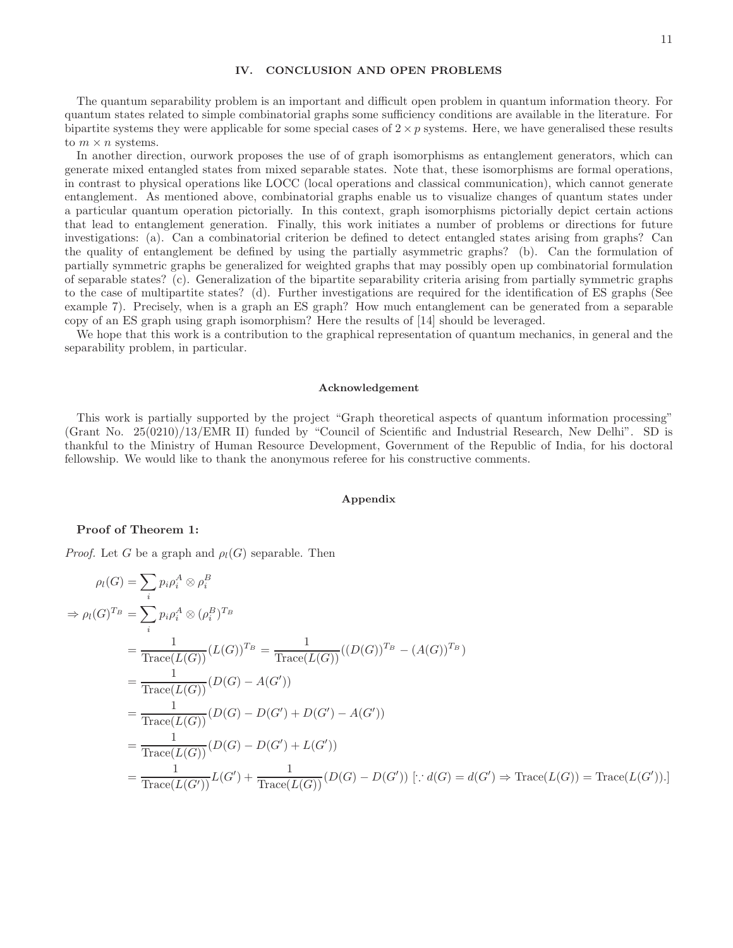# IV. CONCLUSION AND OPEN PROBLEMS

The quantum separability problem is an important and difficult open problem in quantum information theory. For quantum states related to simple combinatorial graphs some sufficiency conditions are available in the literature. For bipartite systems they were applicable for some special cases of  $2 \times p$  systems. Here, we have generalised these results to  $m \times n$  systems.

In another direction, ourwork proposes the use of of graph isomorphisms as entanglement generators, which can generate mixed entangled states from mixed separable states. Note that, these isomorphisms are formal operations, in contrast to physical operations like LOCC (local operations and classical communication), which cannot generate entanglement. As mentioned above, combinatorial graphs enable us to visualize changes of quantum states under a particular quantum operation pictorially. In this context, graph isomorphisms pictorially depict certain actions that lead to entanglement generation. Finally, this work initiates a number of problems or directions for future investigations: (a). Can a combinatorial criterion be defined to detect entangled states arising from graphs? Can the quality of entanglement be defined by using the partially asymmetric graphs? (b). Can the formulation of partially symmetric graphs be generalized for weighted graphs that may possibly open up combinatorial formulation of separable states? (c). Generalization of the bipartite separability criteria arising from partially symmetric graphs to the case of multipartite states? (d). Further investigations are required for the identification of ES graphs (See example 7). Precisely, when is a graph an ES graph? How much entanglement can be generated from a separable copy of an ES graph using graph isomorphism? Here the results of [14] should be leveraged.

We hope that this work is a contribution to the graphical representation of quantum mechanics, in general and the separability problem, in particular.

#### Acknowledgement

This work is partially supported by the project "Graph theoretical aspects of quantum information processing" (Grant No. 25(0210)/13/EMR II) funded by "Council of Scientific and Industrial Research, New Delhi". SD is thankful to the Ministry of Human Resource Development, Government of the Republic of India, for his doctoral fellowship. We would like to thank the anonymous referee for his constructive comments.

## Appendix

## Proof of Theorem 1:

*Proof.* Let G be a graph and  $\rho_l(G)$  separable. Then

$$
\rho_l(G) = \sum_{i} p_i \rho_i^A \otimes \rho_i^B
$$
  
\n
$$
\Rightarrow \rho_l(G)^{T_B} = \sum_{i} p_i \rho_i^A \otimes (\rho_i^B)^{T_B}
$$
  
\n
$$
= \frac{1}{\text{Trace}(L(G))} (L(G))^{T_B} = \frac{1}{\text{Trace}(L(G))} ((D(G))^{T_B} - (A(G))^{T_B})
$$
  
\n
$$
= \frac{1}{\text{Trace}(L(G))} (D(G) - A(G'))
$$
  
\n
$$
= \frac{1}{\text{Trace}(L(G))} (D(G) - D(G') + D(G') - A(G'))
$$
  
\n
$$
= \frac{1}{\text{Trace}(L(G))} (D(G) - D(G') + L(G'))
$$
  
\n
$$
= \frac{1}{\text{Trace}(L(G'))} (L(G') + \frac{1}{\text{Trace}(L(G))} (D(G) - D(G')) [\because d(G) = d(G') \Rightarrow \text{Trace}(L(G))] = \text{Trace}(L(G')).
$$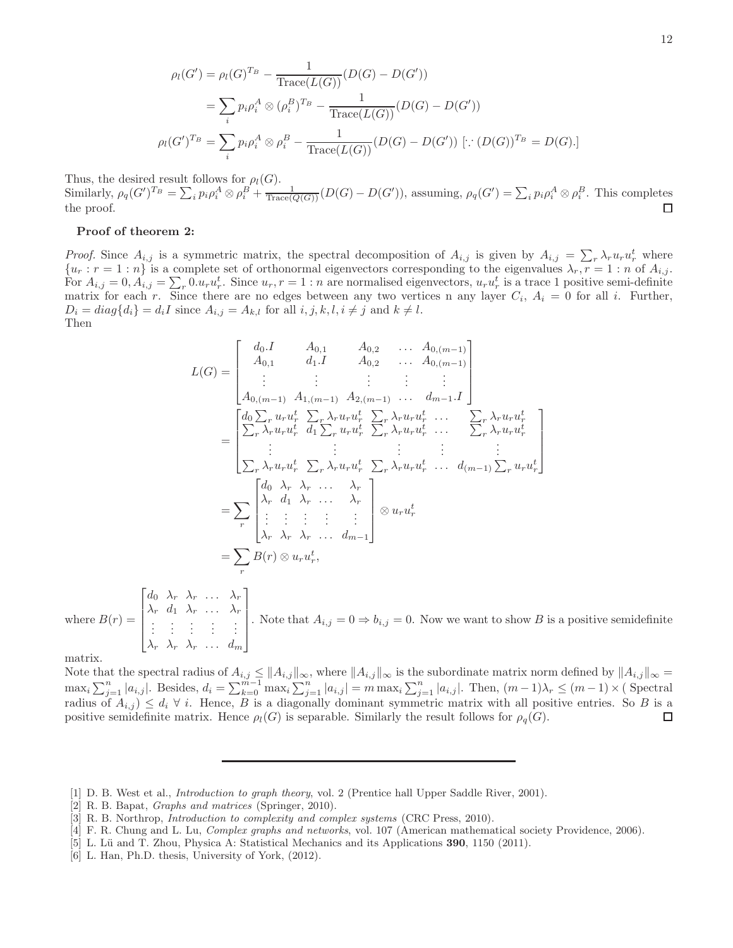$$
\rho_l(G') = \rho_l(G)^{T_B} - \frac{1}{\text{Trace}(L(G))}(D(G) - D(G'))
$$
  
=  $\sum_i p_i \rho_i^A \otimes (\rho_i^B)^{T_B} - \frac{1}{\text{Trace}(L(G))}(D(G) - D(G'))$   

$$
\rho_l(G')^{T_B} = \sum_i p_i \rho_i^A \otimes \rho_i^B - \frac{1}{\text{Trace}(L(G))}(D(G) - D(G')) [\because (D(G))^{T_B} = D(G)].
$$

Thus, the desired result follows for  $\rho_l(G)$ . Similarly,  $\rho_q(G')^{T_B} = \sum_i p_i \rho_i^A \otimes \rho_i^B + \frac{1}{\text{Trace}(Q(G))} (D(G) - D(G'))$ , assuming,  $\rho_q(G') = \sum_i p_i \rho_i^A \otimes \rho_i^B$ . This completes the proof.  $\Box$ 

## Proof of theorem 2:

*Proof.* Since  $A_{i,j}$  is a symmetric matrix, the spectral decomposition of  $A_{i,j}$  is given by  $A_{i,j} = \sum_{r} \lambda_r u_r u_r^t$  where  ${u_r : r = 1 : n}$  is a complete set of orthonormal eigenvectors corresponding to the eigenvalues  $\lambda_r, r = 1 : n$  of  $A_{i,j}$ . For  $A_{i,j} = 0, A_{i,j} = \sum_{r} 0.u_ru_r^t$ . Since  $u_r, r = 1:n$  are normalised eigenvectors,  $u_ru_r^t$  is a trace 1 positive semi-definite matrix for each r. Since there are no edges between any two vertices n any layer  $C_i$ ,  $A_i = 0$  for all i. Further,  $D_i = diag\{d_i\} = d_iI$  since  $A_{i,j} = A_{k,l}$  for all  $i, j, k, l, i \neq j$  and  $k \neq l$ . Then

$$
L(G) = \begin{bmatrix} d_{0}.I & A_{0,1} & A_{0,2} & \dots & A_{0,(m-1)} \\ A_{0,1} & d_{1}.I & A_{0,2} & \dots & A_{0,(m-1)} \\ \vdots & \vdots & \vdots & \vdots & \vdots \\ A_{0,(m-1)} & A_{1,(m-1)} & A_{2,(m-1)} & \dots & d_{m-1}.I \end{bmatrix} \\ = \begin{bmatrix} d_{0} \sum_{r} u_{r} u_{r}^{t} & \sum_{r} \lambda_{r} u_{r} u_{r}^{t} & \sum_{r} \lambda_{r} u_{r} u_{r}^{t} & \dots & \sum_{r} \lambda_{r} u_{r} u_{r}^{t} \\ \sum_{r} \lambda_{r} u_{r} u_{r}^{t} & d_{1} \sum_{r} u_{r} u_{r}^{t} & \sum_{r} \lambda_{r} u_{r} u_{r}^{t} & \dots & \sum_{r} \lambda_{r} u_{r} u_{r}^{t} \\ \vdots & \vdots & \vdots & \vdots & \vdots \\ \sum_{r} \lambda_{r} u_{r} u_{r}^{t} & \sum_{r} \lambda_{r} u_{r} u_{r}^{t} & \sum_{r} \lambda_{r} u_{r} u_{r}^{t} & \dots & d_{(m-1)} \sum_{r} u_{r} u_{r}^{t} \end{bmatrix} \\ = \sum_{r} \begin{bmatrix} d_{0} \lambda_{r} & \lambda_{r} & \dots & \lambda_{r} \\ \lambda_{r} & d_{1} \lambda_{r} & \dots & \lambda_{r} \\ \vdots & \vdots & \vdots & \vdots \\ \lambda_{r} \lambda_{r} & \lambda_{r} & \dots & d_{m-1} \end{bmatrix} \otimes u_{r} u_{r}^{t} \\ = \sum_{r} B(r) \otimes u_{r} u_{r}^{t},
$$

where  $B(r) =$  $\sqrt{ }$   $d_0 \lambda_r \lambda_r \ldots \lambda_r$  $\lambda_r$  d<sub>1</sub>  $\lambda_r$  ...  $\lambda_r$ .<br>. . . . .  $\lambda_r$   $\lambda_r$   $\lambda_r$  ...  $d_m$ 1 . Note that  $A_{i,j} = 0 \Rightarrow b_{i,j} = 0$ . Now we want to show B is a positive semidefinite

matrix.

Note that the spectral radius of  $A_{i,j} \leq ||A_{i,j}||_{\infty}$ , where  $||A_{i,j}||_{\infty}$  is the subordinate matrix norm defined by  $||A_{i,j}||_{\infty} =$  $\max_i \sum_{j=1}^n |a_{i,j}|$ . Besides,  $d_i = \sum_{k=0}^{m-1} \max_i \sum_{j=1}^n |a_{i,j}| = m \max_i \sum_{j=1}^n |a_{i,j}|$ . Then,  $(m-1)\lambda_r \leq (m-1) \times ($  Spectral radius of  $A_{i,j}$   $\leq d_i \forall i$ . Hence, B is a diagonally dominant symmetric matrix with all positive entries. So B is a positive semidefinite matrix. Hence  $\rho_l(G)$  is separable. Similarly the result follows for  $\rho_q(G)$ .  $\Box$ 

[6] L. Han, Ph.D. thesis, University of York, (2012).

<sup>[1]</sup> D. B. West et al., Introduction to graph theory, vol. 2 (Prentice hall Upper Saddle River, 2001).

<sup>[2]</sup> R. B. Bapat, Graphs and matrices (Springer, 2010).

<sup>[3]</sup> R. B. Northrop, Introduction to complexity and complex systems (CRC Press, 2010).

<sup>[4]</sup> F. R. Chung and L. Lu, Complex graphs and networks, vol. 107 (American mathematical society Providence, 2006).

<sup>[5]</sup> L. Lü and T. Zhou, Physica A: Statistical Mechanics and its Applications 390, 1150 (2011).